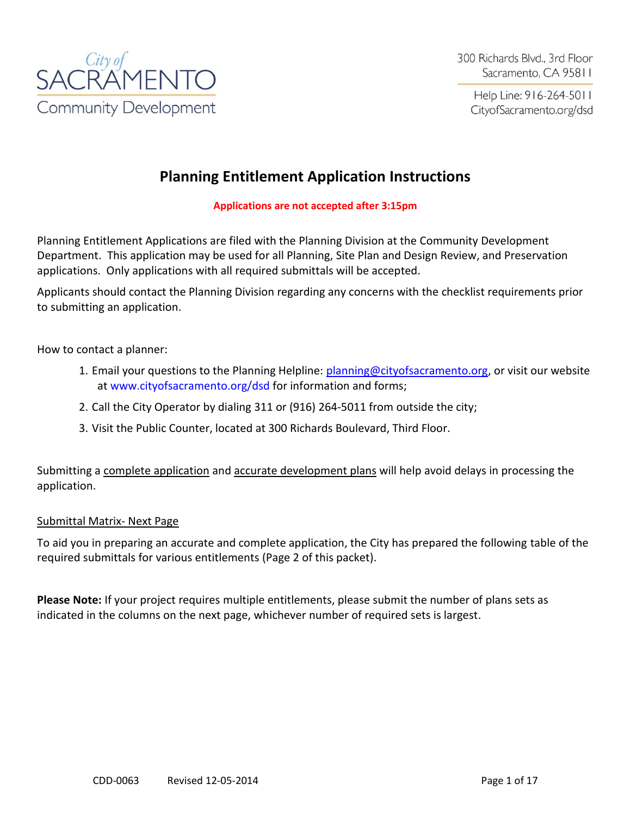

Help Line: 916-264-5011 CityofSacramento.org/dsd

# **Planning Entitlement Application Instructions**

#### **Applications are not accepted after 3:15pm**

Planning Entitlement Applications are filed with the Planning Division at the Community Development Department. This application may be used for all Planning, Site Plan and Design Review, and Preservation applications. Only applications with all required submittals will be accepted.

Applicants should contact the Planning Division regarding any concerns with the checklist requirements prior to submitting an application.

How to contact a planner:

- 1. Email your questions to the Planning Helpline: [planning@cityofsacramento.org,](mailto:planning@cityofsacramento.org) or visit our website at [www.cityofsacramento.org/dsd](http://www.cityofsacramento.org/dsd) for information and forms;
- 2. Call the City Operator by dialing 311 or (916) 264-5011 from outside the city;
- 3. Visit the Public Counter, located at 300 Richards Boulevard, Third Floor.

Submitting a complete application and accurate development plans will help avoid delays in processing the application.

#### Submittal Matrix- Next Page

To aid you in preparing an accurate and complete application, the City has prepared the following table of the required submittals for various entitlements (Page 2 of this packet).

**Please Note:** If your project requires multiple entitlements, please submit the number of plans sets as indicated in the columns on the next page, whichever number of required sets is largest.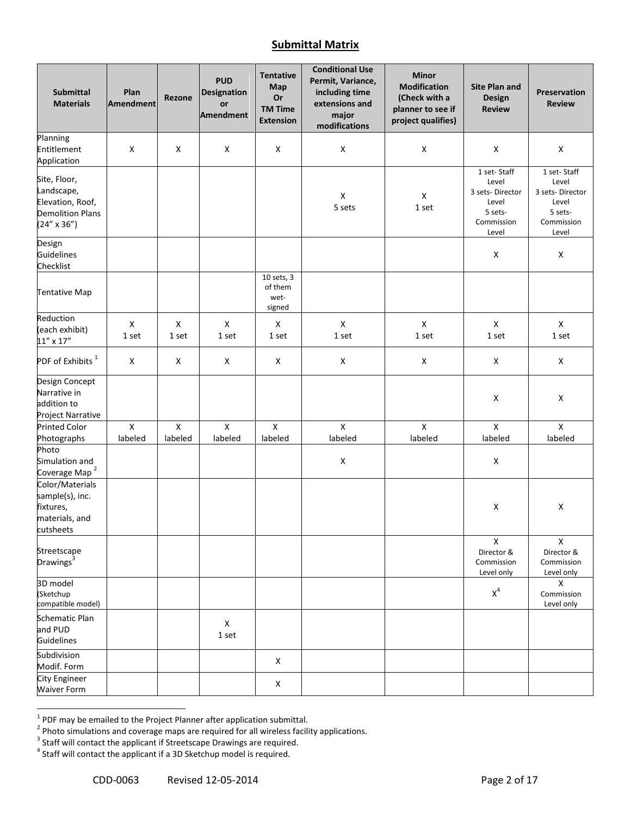#### **Submittal Matrix**

| <b>Submittal</b><br><b>Materials</b>                                                              | Plan<br>Amendment | Rezone         | <b>PUD</b><br><b>Designation</b><br>or<br>Amendment | <b>Tentative</b><br>Map<br>Or<br><b>TM Time</b><br><b>Extension</b> | <b>Conditional Use</b><br>Permit, Variance,<br>including time<br>extensions and<br>major<br>modifications | <b>Minor</b><br><b>Modification</b><br>(Check with a<br>planner to see if<br>project qualifies) | <b>Site Plan and</b><br><b>Design</b><br><b>Review</b>                             | Preservation<br><b>Review</b>                                                      |
|---------------------------------------------------------------------------------------------------|-------------------|----------------|-----------------------------------------------------|---------------------------------------------------------------------|-----------------------------------------------------------------------------------------------------------|-------------------------------------------------------------------------------------------------|------------------------------------------------------------------------------------|------------------------------------------------------------------------------------|
| Planning<br>Entitlement<br>Application                                                            | X                 | X              | $\mathsf X$                                         | X                                                                   | $\pmb{\mathsf{X}}$                                                                                        | $\pmb{\mathsf{X}}$                                                                              | $\pmb{\mathsf{X}}$                                                                 | $\pmb{\mathsf{X}}$                                                                 |
| Site, Floor,<br>Landscape,<br>Elevation, Roof,<br><b>Demolition Plans</b><br>$(24'' \times 36'')$ |                   |                |                                                     |                                                                     | $\pmb{\mathsf{X}}$<br>5 sets                                                                              | $\mathsf X$<br>1 set                                                                            | 1 set-Staff<br>Level<br>3 sets-Director<br>Level<br>5 sets-<br>Commission<br>Level | 1 set-Staff<br>Level<br>3 sets-Director<br>Level<br>5 sets-<br>Commission<br>Level |
| Design<br><b>Guidelines</b><br>Checklist                                                          |                   |                |                                                     |                                                                     |                                                                                                           |                                                                                                 | X                                                                                  | X                                                                                  |
| <b>Tentative Map</b>                                                                              |                   |                |                                                     | 10 sets, 3<br>of them<br>wet-<br>signed                             |                                                                                                           |                                                                                                 |                                                                                    |                                                                                    |
| Reduction<br>(each exhibit)<br>$11'' \times 17''$                                                 | X<br>1 set        | X<br>1 set     | X<br>1 set                                          | X<br>1 set                                                          | $\pmb{\mathsf{X}}$<br>1 set                                                                               | $\pmb{\mathsf{X}}$<br>1 set                                                                     | X<br>1 set                                                                         | X<br>1 set                                                                         |
| PDF of Exhibits $1$                                                                               | X                 | X              | X                                                   | Χ                                                                   | $\pmb{\mathsf{X}}$                                                                                        | X                                                                                               | X                                                                                  | X                                                                                  |
| Design Concept<br>Narrative in<br>addition to<br>Project Narrative                                |                   |                |                                                     |                                                                     |                                                                                                           |                                                                                                 | X                                                                                  | $\pmb{\mathsf{X}}$                                                                 |
| <b>Printed Color</b>                                                                              | $\mathsf{x}$      | $\pmb{\times}$ | $\mathsf{x}$                                        | $\mathsf{x}$                                                        | $\mathsf{x}$                                                                                              | $\mathsf{x}$                                                                                    | $\mathsf{x}$                                                                       | $\mathsf{x}$                                                                       |
| Photographs<br>Photo                                                                              | labeled           | labeled        | labeled                                             | labeled                                                             | labeled                                                                                                   | labeled                                                                                         | labeled                                                                            | labeled                                                                            |
| Simulation and<br>Coverage Map <sup>2</sup>                                                       |                   |                |                                                     |                                                                     | $\pmb{\mathsf{X}}$                                                                                        |                                                                                                 | X                                                                                  |                                                                                    |
| Color/Materials<br>sample(s), inc.<br>fixtures,<br>materials, and<br>cutsheets                    |                   |                |                                                     |                                                                     |                                                                                                           |                                                                                                 | X                                                                                  | x                                                                                  |
| Streetscape<br>Drawings <sup>3</sup>                                                              |                   |                |                                                     |                                                                     |                                                                                                           |                                                                                                 | $\mathsf X$<br>Director &<br>Commission<br>Level only                              | $\mathsf{X}$<br>Director &<br>Commission<br>Level only                             |
| 3D model<br>(Sketchup<br>compatible model)                                                        |                   |                |                                                     |                                                                     |                                                                                                           |                                                                                                 | $X^4$                                                                              | х<br>Commission<br>Level only                                                      |
| Schematic Plan<br>and PUD<br>Guidelines                                                           |                   |                | X<br>1 set                                          |                                                                     |                                                                                                           |                                                                                                 |                                                                                    |                                                                                    |
| Subdivision<br>Modif. Form                                                                        |                   |                |                                                     | X                                                                   |                                                                                                           |                                                                                                 |                                                                                    |                                                                                    |
| <b>City Engineer</b><br><b>Waiver Form</b>                                                        |                   |                |                                                     | X                                                                   |                                                                                                           |                                                                                                 |                                                                                    |                                                                                    |

<sup>&</sup>lt;sup>1</sup> PDF may be emailed to the Project Planner after application submittal.<br><sup>2</sup> Photo simulations and coverage maps are required for all wireless facility applications.<br><sup>3</sup> Staff will contact the applicant if Streetscape D

 $<sup>4</sup>$  Staff will contact the applicant if a 3D Sketchup model is required.</sup>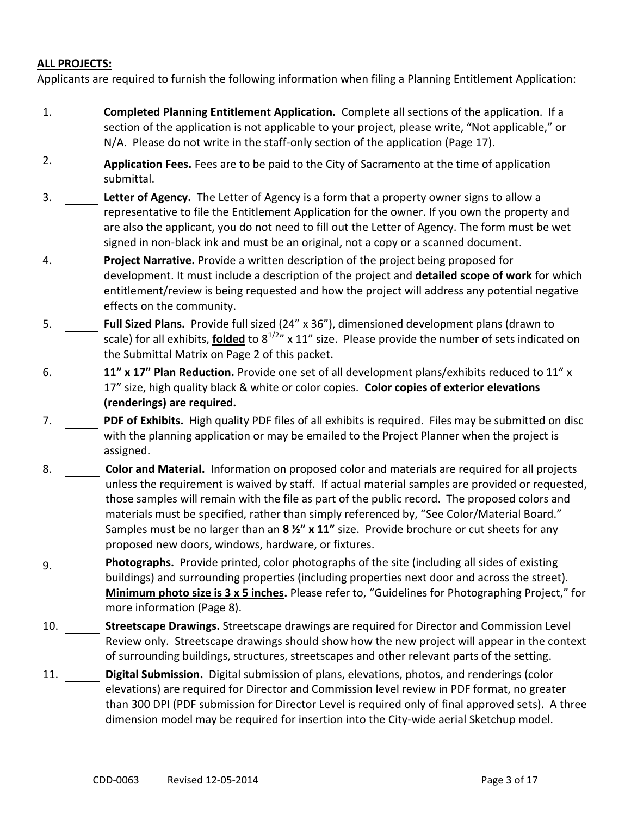#### **ALL PROJECTS:**

Applicants are required to furnish the following information when filing a Planning Entitlement Application:

- 1. **Completed Planning Entitlement Application.** Complete all sections of the application. If a section of the application is not applicable to your project, please write, "Not applicable," or N/A. Please do not write in the staff-only section of the application (Page 17).
- 2. **Application Fees.** Fees are to be paid to the City of Sacramento at the time of application submittal.
- 3. **Letter of Agency.** The Letter of Agency is a form that a property owner signs to allow a representative to file the Entitlement Application for the owner. If you own the property and are also the applicant, you do not need to fill out the Letter of Agency. The form must be wet signed in non-black ink and must be an original, not a copy or a scanned document.
- 4. **Project Narrative.** Provide a written description of the project being proposed for development. It must include a description of the project and **detailed scope of work** for which entitlement/review is being requested and how the project will address any potential negative effects on the community.
- 5. **Full Sized Plans.** Provide full sized (24" x 36"), dimensioned development plans (drawn to scale) for all exhibits, **folded** to  $8^{1/2}$ " x 11" size. Please provide the number of sets indicated on the Submittal Matrix on Page 2 of this packet.
- 6. **11" x 17" Plan Reduction.** Provide one set of all development plans/exhibits reduced to 11" x 17" size, high quality black & white or color copies. **Color copies of exterior elevations (renderings) are required.**
- 7. **PDF of Exhibits.** High quality PDF files of all exhibits is required. Files may be submitted on disc with the planning application or may be emailed to the Project Planner when the project is assigned.
- 8. **Color and Material.** Information on proposed color and materials are required for all projects unless the requirement is waived by staff. If actual material samples are provided or requested, those samples will remain with the file as part of the public record. The proposed colors and materials must be specified, rather than simply referenced by, "See Color/Material Board." Samples must be no larger than an **8 ½" x 11"** size. Provide brochure or cut sheets for any proposed new doors, windows, hardware, or fixtures.
- 9. **Photographs.** Provide printed, color photographs of the site (including all sides of existing buildings) and surrounding properties (including properties next door and across the street). **Minimum photo size is 3 x 5 inches.** Please refer to, "Guidelines for Photographing Project," for more information (Page 8).
- 10. **Streetscape Drawings.** Streetscape drawings are required for Director and Commission Level Review only. Streetscape drawings should show how the new project will appear in the context of surrounding buildings, structures, streetscapes and other relevant parts of the setting.
- 11. **Digital Submission.** Digital submission of plans, elevations, photos, and renderings (color elevations) are required for Director and Commission level review in PDF format, no greater than 300 DPI (PDF submission for Director Level is required only of final approved sets). A three dimension model may be required for insertion into the City-wide aerial Sketchup model.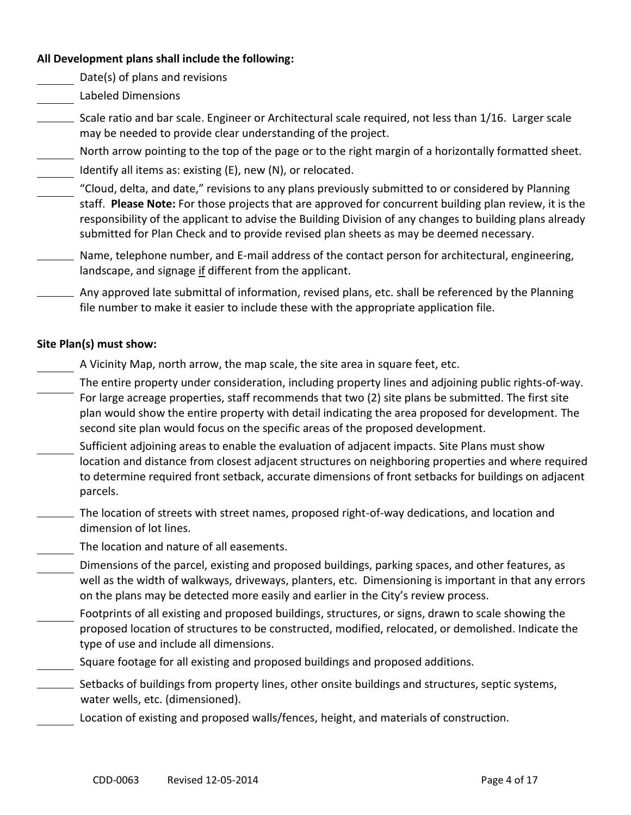#### **All Development plans shall include the following:**

Date(s) of plans and revisions

- Labeled Dimensions
- Scale ratio and bar scale. Engineer or Architectural scale required, not less than 1/16. Larger scale may be needed to provide clear understanding of the project.
- North arrow pointing to the top of the page or to the right margin of a horizontally formatted sheet.
- Identify all items as: existing (E), new (N), or relocated.
- "Cloud, delta, and date," revisions to any plans previously submitted to or considered by Planning staff. **Please Note:** For those projects that are approved for concurrent building plan review, it is the responsibility of the applicant to advise the Building Division of any changes to building plans already submitted for Plan Check and to provide revised plan sheets as may be deemed necessary.
- Name, telephone number, and E-mail address of the contact person for architectural, engineering, landscape, and signage if different from the applicant.
- Any approved late submittal of information, revised plans, etc. shall be referenced by the Planning file number to make it easier to include these with the appropriate application file.

#### **Site Plan(s) must show:**

- A Vicinity Map, north arrow, the map scale, the site area in square feet, etc.
- The entire property under consideration, including property lines and adjoining public rights-of-way. For large acreage properties, staff recommends that two (2) site plans be submitted. The first site plan would show the entire property with detail indicating the area proposed for development. The second site plan would focus on the specific areas of the proposed development.
- Sufficient adjoining areas to enable the evaluation of adjacent impacts. Site Plans must show location and distance from closest adjacent structures on neighboring properties and where required to determine required front setback, accurate dimensions of front setbacks for buildings on adjacent parcels.
- The location of streets with street names, proposed right-of-way dedications, and location and dimension of lot lines.
- The location and nature of all easements.
- Dimensions of the parcel, existing and proposed buildings, parking spaces, and other features, as well as the width of walkways, driveways, planters, etc. Dimensioning is important in that any errors on the plans may be detected more easily and earlier in the City's review process.
- Footprints of all existing and proposed buildings, structures, or signs, drawn to scale showing the proposed location of structures to be constructed, modified, relocated, or demolished. Indicate the type of use and include all dimensions.
- Square footage for all existing and proposed buildings and proposed additions.
- Setbacks of buildings from property lines, other onsite buildings and structures, septic systems, water wells, etc. (dimensioned).
	- Location of existing and proposed walls/fences, height, and materials of construction.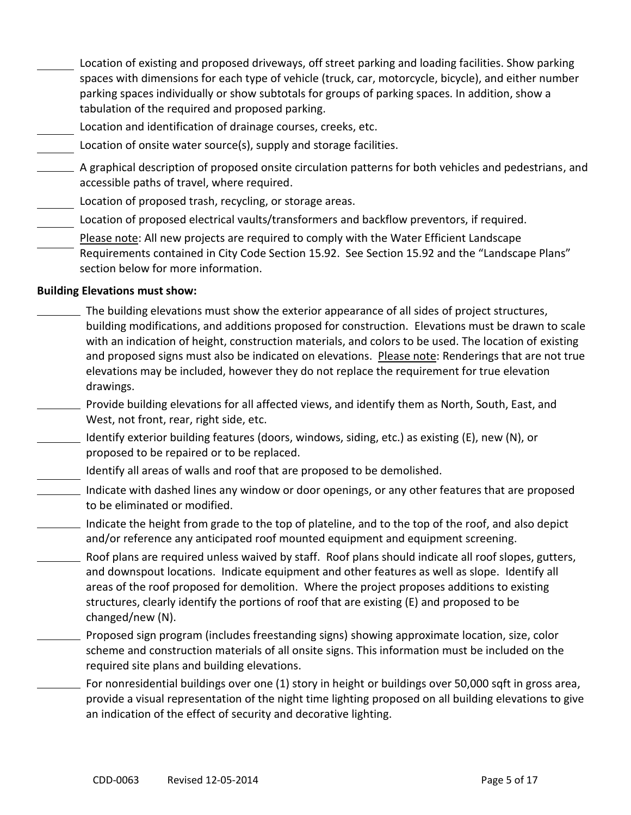- Location of existing and proposed driveways, off street parking and loading facilities. Show parking spaces with dimensions for each type of vehicle (truck, car, motorcycle, bicycle), and either number parking spaces individually or show subtotals for groups of parking spaces. In addition, show a tabulation of the required and proposed parking.
- Location and identification of drainage courses, creeks, etc.
- Location of onsite water source(s), supply and storage facilities.
- A graphical description of proposed onsite circulation patterns for both vehicles and pedestrians, and accessible paths of travel, where required.
- Location of proposed trash, recycling, or storage areas.
- Location of proposed electrical vaults/transformers and backflow preventors, if required.
- Please note: All new projects are required to comply with the Water Efficient Landscape Requirements contained in City Code Section 15.92. See Section 15.92 and the "Landscape Plans" section below for more information.

#### **Building Elevations must show:**

- The building elevations must show the exterior appearance of all sides of project structures, building modifications, and additions proposed for construction. Elevations must be drawn to scale with an indication of height, construction materials, and colors to be used. The location of existing and proposed signs must also be indicated on elevations. Please note: Renderings that are not true elevations may be included, however they do not replace the requirement for true elevation drawings.
	- Provide building elevations for all affected views, and identify them as North, South, East, and West, not front, rear, right side, etc.
- $\Box$  Identify exterior building features (doors, windows, siding, etc.) as existing (E), new (N), or proposed to be repaired or to be replaced.
- Identify all areas of walls and roof that are proposed to be demolished.
- Indicate with dashed lines any window or door openings, or any other features that are proposed to be eliminated or modified.
- $\_$  Indicate the height from grade to the top of plateline, and to the top of the roof, and also depict and/or reference any anticipated roof mounted equipment and equipment screening.
- Roof plans are required unless waived by staff. Roof plans should indicate all roof slopes, gutters, and downspout locations. Indicate equipment and other features as well as slope. Identify all areas of the roof proposed for demolition. Where the project proposes additions to existing structures, clearly identify the portions of roof that are existing (E) and proposed to be changed/new (N).
- Proposed sign program (includes freestanding signs) showing approximate location, size, color scheme and construction materials of all onsite signs. This information must be included on the required site plans and building elevations.
	- For nonresidential buildings over one (1) story in height or buildings over 50,000 sqft in gross area, provide a visual representation of the night time lighting proposed on all building elevations to give an indication of the effect of security and decorative lighting.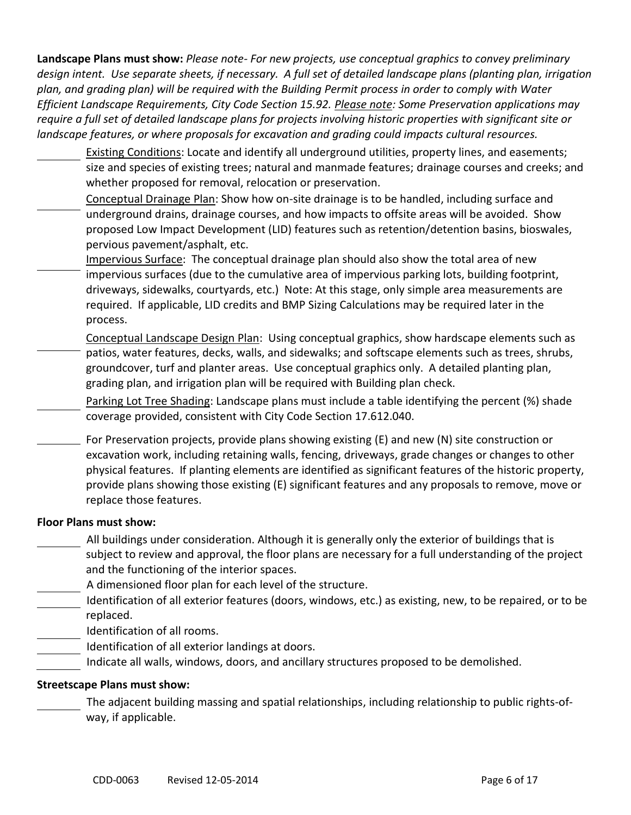**Landscape Plans must show:** *Please note- For new projects, use conceptual graphics to convey preliminary design intent. Use separate sheets, if necessary. A full set of detailed landscape plans (planting plan, irrigation plan, and grading plan) will be required with the Building Permit process in order to comply with Water Efficient Landscape Requirements, City Code Section 15.92. Please note: Some Preservation applications may require a full set of detailed landscape plans for projects involving historic properties with significant site or landscape features, or where proposals for excavation and grading could impacts cultural resources.*

- Existing Conditions: Locate and identify all underground utilities, property lines, and easements; size and species of existing trees; natural and manmade features; drainage courses and creeks; and whether proposed for removal, relocation or preservation.
- Conceptual Drainage Plan: Show how on-site drainage is to be handled, including surface and underground drains, drainage courses, and how impacts to offsite areas will be avoided. Show proposed Low Impact Development (LID) features such as retention/detention basins, bioswales, pervious pavement/asphalt, etc.
- Impervious Surface: The conceptual drainage plan should also show the total area of new impervious surfaces (due to the cumulative area of impervious parking lots, building footprint, driveways, sidewalks, courtyards, etc.) Note: At this stage, only simple area measurements are required. If applicable, LID credits and BMP Sizing Calculations may be required later in the process.
- Conceptual Landscape Design Plan: Using conceptual graphics, show hardscape elements such as patios, water features, decks, walls, and sidewalks; and softscape elements such as trees, shrubs, groundcover, turf and planter areas. Use conceptual graphics only. A detailed planting plan, grading plan, and irrigation plan will be required with Building plan check.
	- Parking Lot Tree Shading: Landscape plans must include a table identifying the percent (%) shade coverage provided, consistent with City Code Section 17.612.040.
- $\equiv$  For Preservation projects, provide plans showing existing (E) and new (N) site construction or excavation work, including retaining walls, fencing, driveways, grade changes or changes to other physical features. If planting elements are identified as significant features of the historic property, provide plans showing those existing (E) significant features and any proposals to remove, move or replace those features.

#### **Floor Plans must show:**

- All buildings under consideration. Although it is generally only the exterior of buildings that is subject to review and approval, the floor plans are necessary for a full understanding of the project and the functioning of the interior spaces.
- A dimensioned floor plan for each level of the structure.
- Identification of all exterior features (doors, windows, etc.) as existing, new, to be repaired, or to be replaced.
- Identification of all rooms.
- Identification of all exterior landings at doors.
- Indicate all walls, windows, doors, and ancillary structures proposed to be demolished.

#### **Streetscape Plans must show:**

The adjacent building massing and spatial relationships, including relationship to public rights-ofway, if applicable.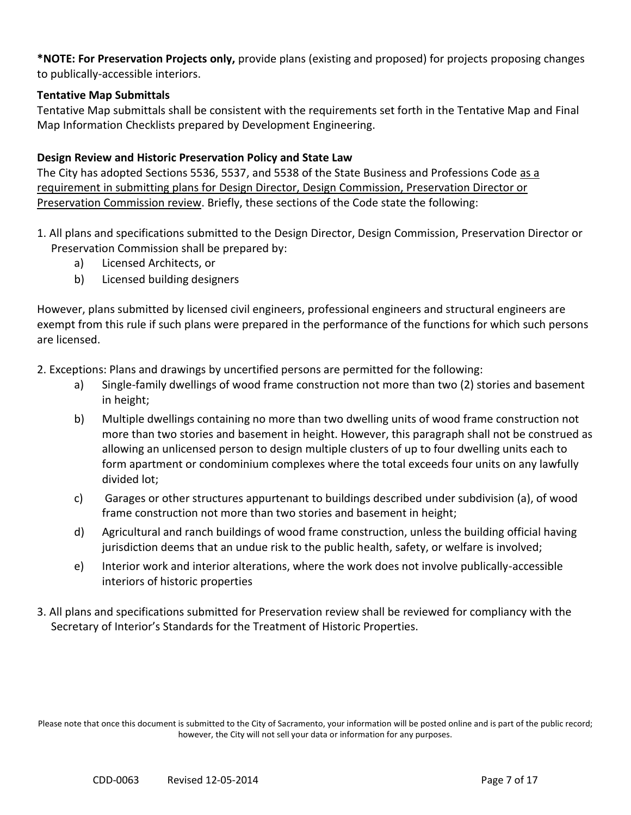**\*NOTE: For Preservation Projects only,** provide plans (existing and proposed) for projects proposing changes to publically-accessible interiors.

#### **Tentative Map Submittals**

Tentative Map submittals shall be consistent with the requirements set forth in the Tentative Map and Final Map Information Checklists prepared by Development Engineering.

#### **Design Review and Historic Preservation Policy and State Law**

The City has adopted Sections 5536, 5537, and 5538 of the State Business and Professions Code as a requirement in submitting plans for Design Director, Design Commission, Preservation Director or Preservation Commission review. Briefly, these sections of the Code state the following:

- 1. All plans and specifications submitted to the Design Director, Design Commission, Preservation Director or Preservation Commission shall be prepared by:
	- a) Licensed Architects, or
	- b) Licensed building designers

However, plans submitted by licensed civil engineers, professional engineers and structural engineers are exempt from this rule if such plans were prepared in the performance of the functions for which such persons are licensed.

2. Exceptions: Plans and drawings by uncertified persons are permitted for the following:

- a) Single-family dwellings of wood frame construction not more than two (2) stories and basement in height;
- b) Multiple dwellings containing no more than two dwelling units of wood frame construction not more than two stories and basement in height. However, this paragraph shall not be construed as allowing an unlicensed person to design multiple clusters of up to four dwelling units each to form apartment or condominium complexes where the total exceeds four units on any lawfully divided lot;
- c) Garages or other structures appurtenant to buildings described under subdivision (a), of wood frame construction not more than two stories and basement in height;
- d) Agricultural and ranch buildings of wood frame construction, unless the building official having jurisdiction deems that an undue risk to the public health, safety, or welfare is involved;
- e) Interior work and interior alterations, where the work does not involve publically-accessible interiors of historic properties
- 3. All plans and specifications submitted for Preservation review shall be reviewed for compliancy with the Secretary of Interior's Standards for the Treatment of Historic Properties.

Please note that once this document is submitted to the City of Sacramento, your information will be posted online and is part of the public record; however, the City will not sell your data or information for any purposes.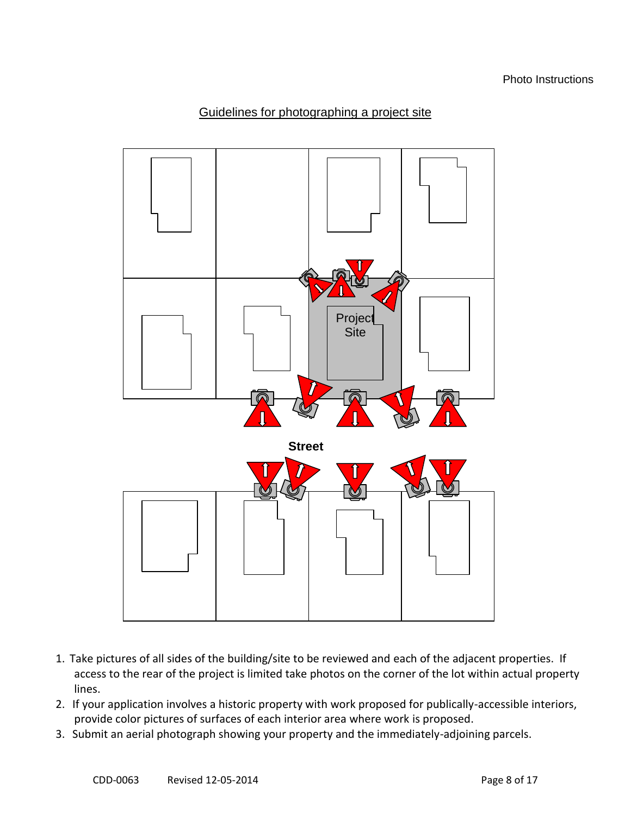## Guidelines for photographing a project site



- 1. Take pictures of all sides of the building/site to be reviewed and each of the adjacent properties. If access to the rear of the project is limited take photos on the corner of the lot within actual property lines.
- 2. If your application involves a historic property with work proposed for publically-accessible interiors, provide color pictures of surfaces of each interior area where work is proposed.
- 3. Submit an aerial photograph showing your property and the immediately-adjoining parcels.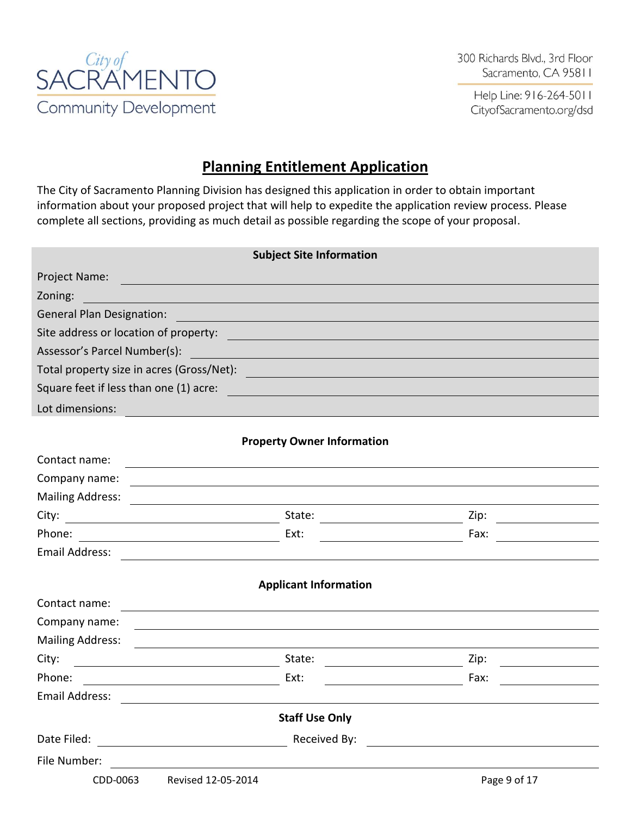

300 Richards Blvd., 3rd Floor Sacramento, CA 95811

Help Line: 916-264-5011 CityofSacramento.org/dsd

# **Planning Entitlement Application**

The City of Sacramento Planning Division has designed this application in order to obtain important information about your proposed project that will help to expedite the application review process. Please complete all sections, providing as much detail as possible regarding the scope of your proposal.

|                                                                                                                               | <b>Subject Site Information</b>                                 |              |
|-------------------------------------------------------------------------------------------------------------------------------|-----------------------------------------------------------------|--------------|
| Project Name:                                                                                                                 |                                                                 |              |
| Zoning:                                                                                                                       |                                                                 |              |
| <b>General Plan Designation:</b>                                                                                              |                                                                 |              |
| Site address or location of property:                                                                                         |                                                                 |              |
| Assessor's Parcel Number(s):                                                                                                  |                                                                 |              |
| Total property size in acres (Gross/Net):                                                                                     |                                                                 |              |
| Square feet if less than one (1) acre:                                                                                        |                                                                 |              |
| Lot dimensions:                                                                                                               |                                                                 |              |
|                                                                                                                               |                                                                 |              |
|                                                                                                                               | <b>Property Owner Information</b>                               |              |
| Contact name:                                                                                                                 |                                                                 |              |
| Company name:                                                                                                                 |                                                                 |              |
| <b>Mailing Address:</b>                                                                                                       |                                                                 |              |
| City:<br><u> 1980 - Johann Barn, mars ann an t-Amhain Aonaich an t-Aonaich an t-Aonaich ann an t-Aonaich ann an t-Aonaich</u> | State:                                                          | Zip:         |
| Phone:                                                                                                                        | Ext:                                                            | Fax:         |
| Email Address:                                                                                                                |                                                                 |              |
|                                                                                                                               | <b>Applicant Information</b>                                    |              |
| Contact name:                                                                                                                 |                                                                 |              |
| Company name:                                                                                                                 |                                                                 |              |
| <b>Mailing Address:</b>                                                                                                       |                                                                 |              |
| City:                                                                                                                         | State:                                                          | Zip:         |
| Phone:                                                                                                                        | Ext:                                                            | Fax:         |
| <b>Email Address:</b>                                                                                                         |                                                                 |              |
|                                                                                                                               | <b>Staff Use Only</b>                                           |              |
| Date Filed:<br><u> 1989 - Andrea Station Books, amerikansk politiker (</u>                                                    | Received By:<br>the contract of the contract of the contract of |              |
| File Number:                                                                                                                  |                                                                 |              |
| CDD-0063<br>Revised 12-05-2014                                                                                                |                                                                 | Page 9 of 17 |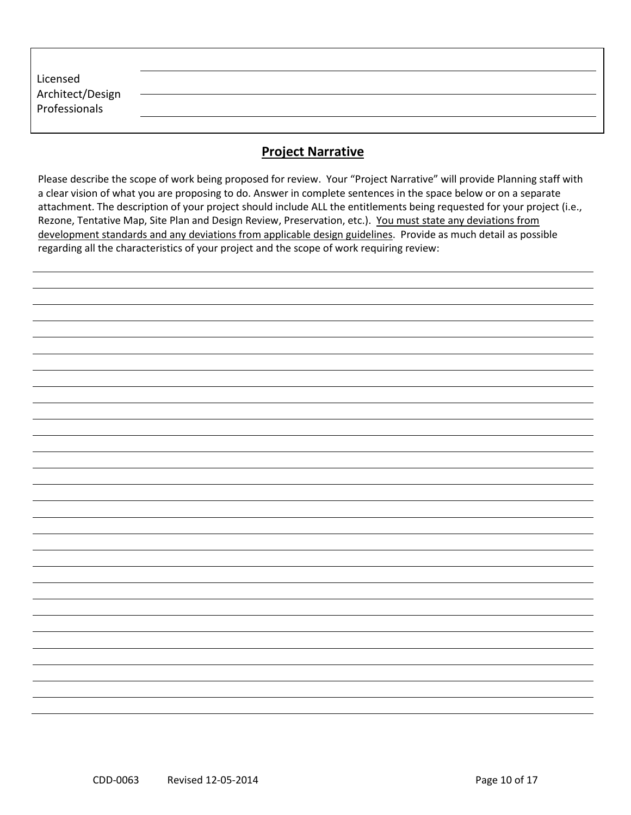| Licensed                          |  |  |
|-----------------------------------|--|--|
| Architect/Design<br>Professionals |  |  |
|                                   |  |  |

# **Project Narrative**

Please describe the scope of work being proposed for review. Your "Project Narrative" will provide Planning staff with a clear vision of what you are proposing to do. Answer in complete sentences in the space below or on a separate attachment. The description of your project should include ALL the entitlements being requested for your project (i.e., Rezone, Tentative Map, Site Plan and Design Review, Preservation, etc.). You must state any deviations from development standards and any deviations from applicable design guidelines. Provide as much detail as possible regarding all the characteristics of your project and the scope of work requiring review: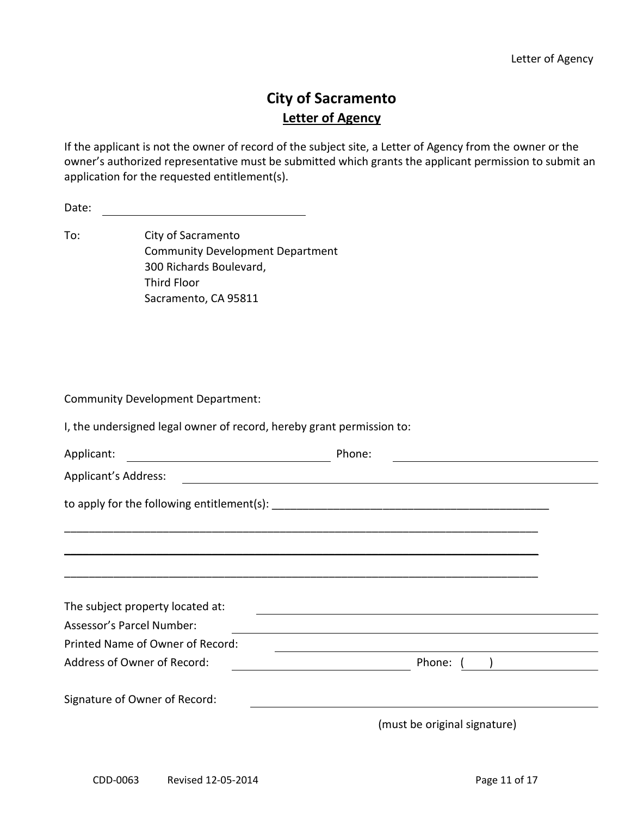# **City of Sacramento Letter of Agency**

If the applicant is not the owner of record of the subject site, a Letter of Agency from the owner or the owner's authorized representative must be submitted which grants the applicant permission to submit an application for the requested entitlement(s).

To: City of Sacramento Community Development Department 300 Richards Boulevard, Third Floor Sacramento, CA 95811

Community Development Department:

I, the undersigned legal owner of record, hereby grant permission to:

| Applicant:                       | Phone:                                             |  |
|----------------------------------|----------------------------------------------------|--|
| <b>Applicant's Address:</b>      | <u> 1989 - John Stein, Amerikaansk politiker (</u> |  |
|                                  |                                                    |  |
|                                  |                                                    |  |
|                                  |                                                    |  |
|                                  |                                                    |  |
| The subject property located at: |                                                    |  |
| Assessor's Parcel Number:        |                                                    |  |
| Printed Name of Owner of Record: |                                                    |  |
| Address of Owner of Record:      | Phone:                                             |  |
| Signature of Owner of Record:    |                                                    |  |
|                                  | (must be original signature)                       |  |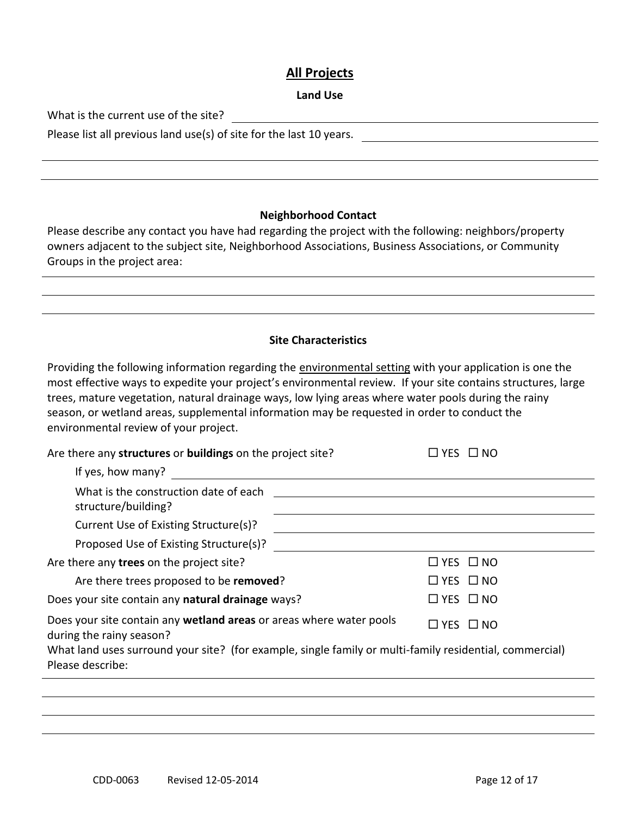### **All Projects**

#### **Land Use**

What is the current use of the site?

Please list all previous land use(s) of site for the last 10 years.

#### **Neighborhood Contact**

Please describe any contact you have had regarding the project with the following: neighbors/property owners adjacent to the subject site, Neighborhood Associations, Business Associations, or Community Groups in the project area:

#### **Site Characteristics**

Providing the following information regarding the environmental setting with your application is one the most effective ways to expedite your project's environmental review. If your site contains structures, large trees, mature vegetation, natural drainage ways, low lying areas where water pools during the rainy season, or wetland areas, supplemental information may be requested in order to conduct the environmental review of your project.

| Are there any structures or buildings on the project site?                                                                  | $\Box$ yes $\Box$ no |
|-----------------------------------------------------------------------------------------------------------------------------|----------------------|
| If yes, how many?                                                                                                           |                      |
| What is the construction date of each<br>structure/building?                                                                |                      |
| Current Use of Existing Structure(s)?                                                                                       |                      |
| Proposed Use of Existing Structure(s)?                                                                                      |                      |
| Are there any trees on the project site?                                                                                    | $\Box$ YES $\Box$ NO |
| Are there trees proposed to be removed?                                                                                     | $\Box$ YES $\Box$ NO |
| Does your site contain any natural drainage ways?                                                                           | $\Box$ YES $\Box$ NO |
| Does your site contain any wetland areas or areas where water pools<br>during the rainy season?                             | $\Box$ YES $\Box$ NO |
| What land uses surround your site? (for example, single family or multi-family residential, commercial)<br>Please describe: |                      |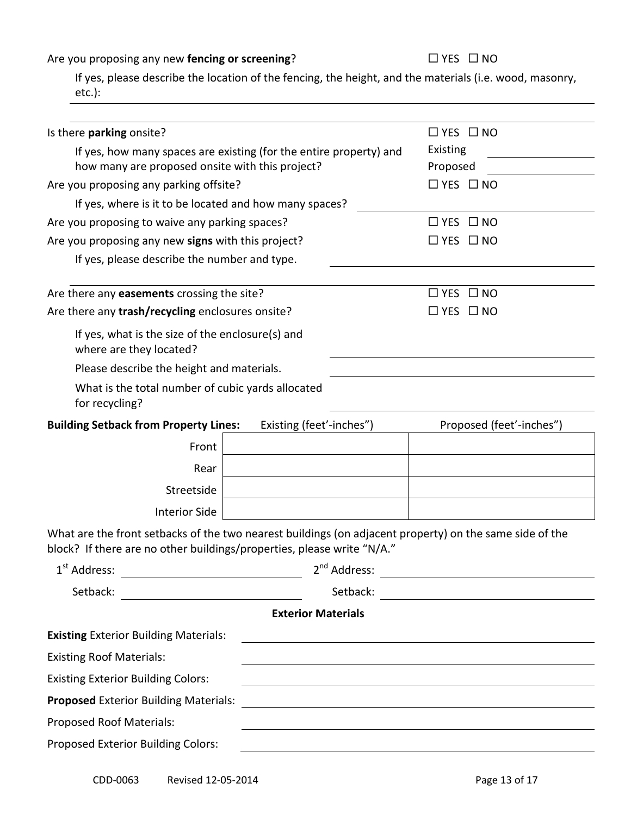Are you proposing any new **fencing or screening**?  $\square$  **YES**  $\square$  **NO** 

If yes, please describe the location of the fencing, the height, and the materials (i.e. wood, masonry, etc.):

| Is there parking onsite?                                                                                                                                                          |                           | $\Box$ YES $\Box$ NO                                                                                             |
|-----------------------------------------------------------------------------------------------------------------------------------------------------------------------------------|---------------------------|------------------------------------------------------------------------------------------------------------------|
| If yes, how many spaces are existing (for the entire property) and                                                                                                                | <b>Existing</b>           |                                                                                                                  |
| how many are proposed onsite with this project?                                                                                                                                   | Proposed                  |                                                                                                                  |
| Are you proposing any parking offsite?                                                                                                                                            |                           | $\Box$ YES $\Box$ NO                                                                                             |
| If yes, where is it to be located and how many spaces?                                                                                                                            |                           |                                                                                                                  |
| Are you proposing to waive any parking spaces?                                                                                                                                    |                           | $\Box$ YES $\Box$ NO                                                                                             |
| Are you proposing any new signs with this project?                                                                                                                                |                           | $\Box$ YES $\Box$ NO                                                                                             |
| If yes, please describe the number and type.                                                                                                                                      |                           |                                                                                                                  |
| Are there any easements crossing the site?                                                                                                                                        |                           | $\Box$ YES $\Box$ NO                                                                                             |
| Are there any trash/recycling enclosures onsite?                                                                                                                                  |                           | $\Box$ YES $\Box$ NO                                                                                             |
| If yes, what is the size of the enclosure(s) and<br>where are they located?                                                                                                       |                           |                                                                                                                  |
| Please describe the height and materials.                                                                                                                                         |                           |                                                                                                                  |
| What is the total number of cubic yards allocated<br>for recycling?                                                                                                               |                           |                                                                                                                  |
| <b>Building Setback from Property Lines:</b>                                                                                                                                      | Existing (feet'-inches")  | Proposed (feet'-inches")                                                                                         |
| Front                                                                                                                                                                             |                           |                                                                                                                  |
| Rear                                                                                                                                                                              |                           |                                                                                                                  |
| Streetside                                                                                                                                                                        |                           |                                                                                                                  |
| <b>Interior Side</b>                                                                                                                                                              |                           |                                                                                                                  |
| What are the front setbacks of the two nearest buildings (on adjacent property) on the same side of the<br>block? If there are no other buildings/properties, please write "N/A." |                           |                                                                                                                  |
| 1 <sup>st</sup> Address:                                                                                                                                                          | 2 <sup>nd</sup> Address:  |                                                                                                                  |
| Setback:                                                                                                                                                                          | Setback:                  | <u> 1989 - Johann Stein, mars an de Brasilia (b. 1989)</u>                                                       |
|                                                                                                                                                                                   | <b>Exterior Materials</b> |                                                                                                                  |
| <b>Existing Exterior Building Materials:</b>                                                                                                                                      |                           | and the control of the control of the control of the control of the control of the control of the control of the |
| <b>Existing Roof Materials:</b>                                                                                                                                                   |                           |                                                                                                                  |
| <b>Existing Exterior Building Colors:</b>                                                                                                                                         |                           |                                                                                                                  |
| <b>Proposed Exterior Building Materials:</b>                                                                                                                                      |                           | <u> 1989 - Johann Barbara, martin amerikan basar da</u>                                                          |
| Proposed Roof Materials:                                                                                                                                                          |                           |                                                                                                                  |
| Proposed Exterior Building Colors:                                                                                                                                                |                           |                                                                                                                  |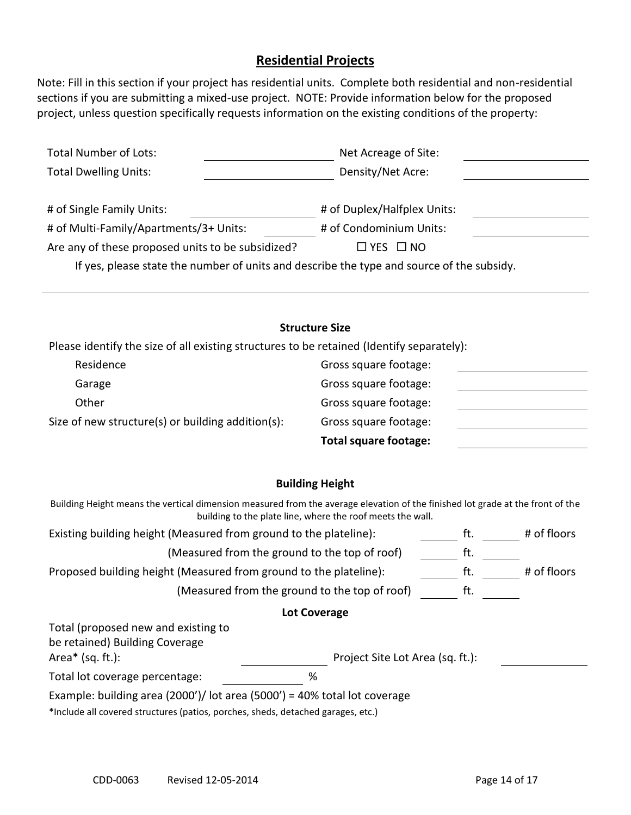## **Residential Projects**

Note: Fill in this section if your project has residential units. Complete both residential and non-residential sections if you are submitting a mixed-use project. NOTE: Provide information below for the proposed project, unless question specifically requests information on the existing conditions of the property:

| <b>Total Number of Lots:</b>                                                              | Net Acreage of Site:        |
|-------------------------------------------------------------------------------------------|-----------------------------|
| <b>Total Dwelling Units:</b>                                                              | Density/Net Acre:           |
|                                                                                           |                             |
| # of Single Family Units:                                                                 | # of Duplex/Halfplex Units: |
| # of Multi-Family/Apartments/3+ Units:                                                    | # of Condominium Units:     |
| Are any of these proposed units to be subsidized?                                         | $\Box$ YES $\Box$ NO        |
| If yes, please state the number of units and describe the type and source of the subsidy. |                             |

|                                                                                           | <b>Structure Size</b>        |  |
|-------------------------------------------------------------------------------------------|------------------------------|--|
| Please identify the size of all existing structures to be retained (Identify separately): |                              |  |
| Residence                                                                                 | Gross square footage:        |  |
| Garage                                                                                    | Gross square footage:        |  |
| Other                                                                                     | Gross square footage:        |  |
| Size of new structure(s) or building addition(s):                                         | Gross square footage:        |  |
|                                                                                           | <b>Total square footage:</b> |  |

#### **Building Height**

| Building Height means the vertical dimension measured from the average elevation of the finished lot grade at the front of the<br>building to the plate line, where the roof meets the wall. |                                  |     |             |
|----------------------------------------------------------------------------------------------------------------------------------------------------------------------------------------------|----------------------------------|-----|-------------|
| Existing building height (Measured from ground to the plateline):                                                                                                                            |                                  | tt. | # of floors |
| (Measured from the ground to the top of roof)                                                                                                                                                |                                  | ft. |             |
| Proposed building height (Measured from ground to the plateline):                                                                                                                            |                                  | ft. | # of floors |
| (Measured from the ground to the top of roof)                                                                                                                                                |                                  | ft. |             |
| <b>Lot Coverage</b>                                                                                                                                                                          |                                  |     |             |
| Total (proposed new and existing to                                                                                                                                                          |                                  |     |             |
| be retained) Building Coverage                                                                                                                                                               |                                  |     |             |
| Area $*$ (sq. ft.):                                                                                                                                                                          | Project Site Lot Area (sq. ft.): |     |             |
| %<br>Total lot coverage percentage:                                                                                                                                                          |                                  |     |             |
| Example: building area (2000')/ lot area (5000') = 40% total lot coverage                                                                                                                    |                                  |     |             |
| المغمى موجودهم اممطومهم واممطوا وموامعته ومناجعا ومستنصبات وسيسته والمستنوم المروان المسالا                                                                                                  |                                  |     |             |

\*Include all covered structures (patios, porches, sheds, detached garages, etc.)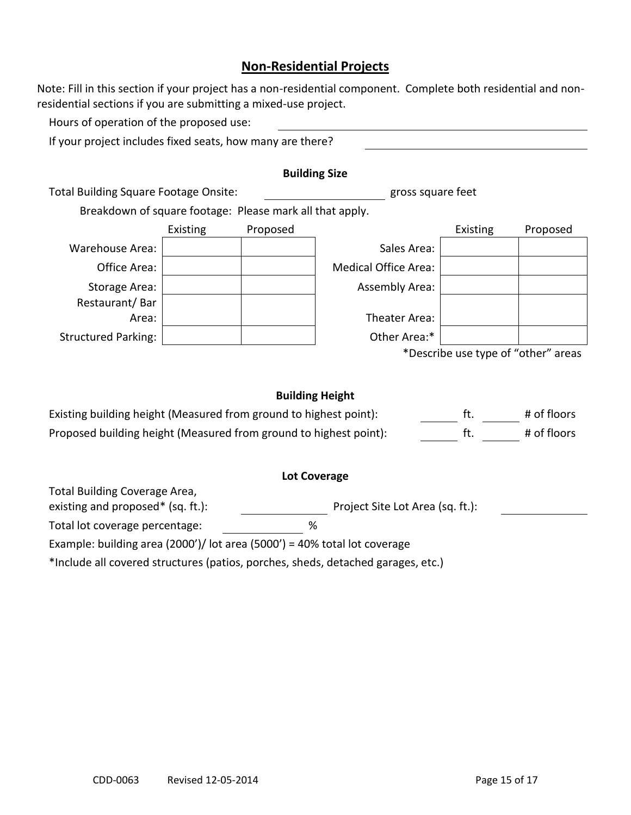## **Non-Residential Projects**

Note: Fill in this section if your project has a non-residential component. Complete both residential and nonresidential sections if you are submitting a mixed-use project.

Hours of operation of the proposed use:

If your project includes fixed seats, how many are there?

|                                                          |          |          | <b>Building Size</b>        |                                     |          |
|----------------------------------------------------------|----------|----------|-----------------------------|-------------------------------------|----------|
| Total Building Square Footage Onsite:                    |          |          | gross square feet           |                                     |          |
| Breakdown of square footage: Please mark all that apply. |          |          |                             |                                     |          |
|                                                          | Existing | Proposed |                             | Existing                            | Proposed |
| Warehouse Area:                                          |          |          | Sales Area:                 |                                     |          |
| Office Area:                                             |          |          | <b>Medical Office Area:</b> |                                     |          |
| Storage Area:                                            |          |          | <b>Assembly Area:</b>       |                                     |          |
| Restaurant/Bar                                           |          |          |                             |                                     |          |
| Area:                                                    |          |          | Theater Area:               |                                     |          |
| <b>Structured Parking:</b>                               |          |          | Other Area:*                |                                     |          |
|                                                          |          |          |                             | *Describe use type of "other" areas |          |
|                                                          |          |          |                             |                                     |          |
|                                                          |          |          |                             |                                     |          |

#### **Building Height**

| Existing building height (Measured from ground to highest point): | # of floors |
|-------------------------------------------------------------------|-------------|
| Proposed building height (Measured from ground to highest point): | # of floors |

#### **Lot Coverage**

Total Building Coverage Area, existing and proposed\* (sq. ft.): Project Site Lot Area (sq. ft.):

Total lot coverage percentage: %

Example: building area (2000')/ lot area (5000') = 40% total lot coverage

\*Include all covered structures (patios, porches, sheds, detached garages, etc.)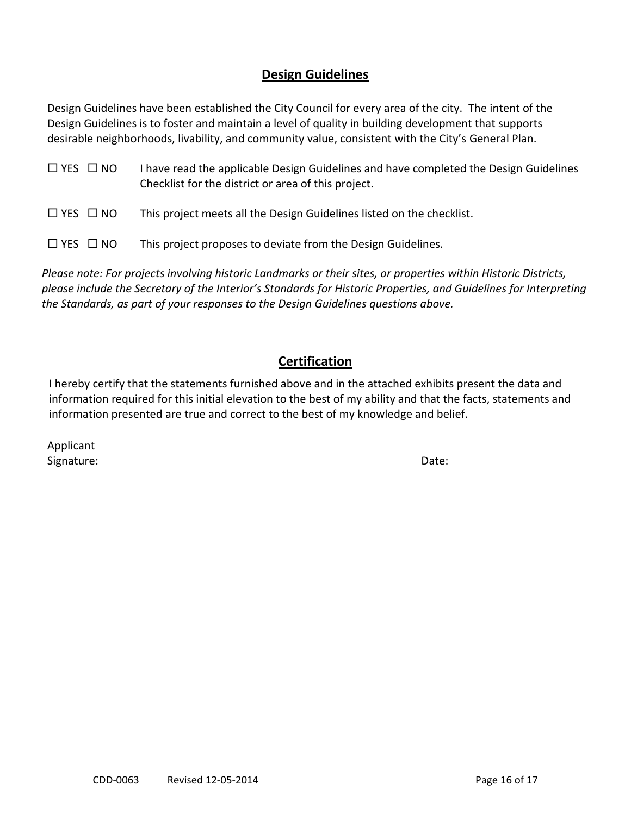# **Design Guidelines**

Design Guidelines have been established the City Council for every area of the city. The intent of the Design Guidelines is to foster and maintain a level of quality in building development that supports desirable neighborhoods, livability, and community value, consistent with the City's General Plan.

| $\Box$ YES $\Box$ NO | I have read the applicable Design Guidelines and have completed the Design Guidelines |
|----------------------|---------------------------------------------------------------------------------------|
|                      | Checklist for the district or area of this project.                                   |

 $\Box$  YES  $\Box$  NO This project meets all the Design Guidelines listed on the checklist.

 $\Box$  YES  $\Box$  NO This project proposes to deviate from the Design Guidelines.

*Please note: For projects involving historic Landmarks or their sites, or properties within Historic Districts, please include the Secretary of the Interior's Standards for Historic Properties, and Guidelines for Interpreting the Standards, as part of your responses to the Design Guidelines questions above.*

# **Certification**

I hereby certify that the statements furnished above and in the attached exhibits present the data and information required for this initial elevation to the best of my ability and that the facts, statements and information presented are true and correct to the best of my knowledge and belief.

| Applicant  |       |
|------------|-------|
| Signature: | Date: |